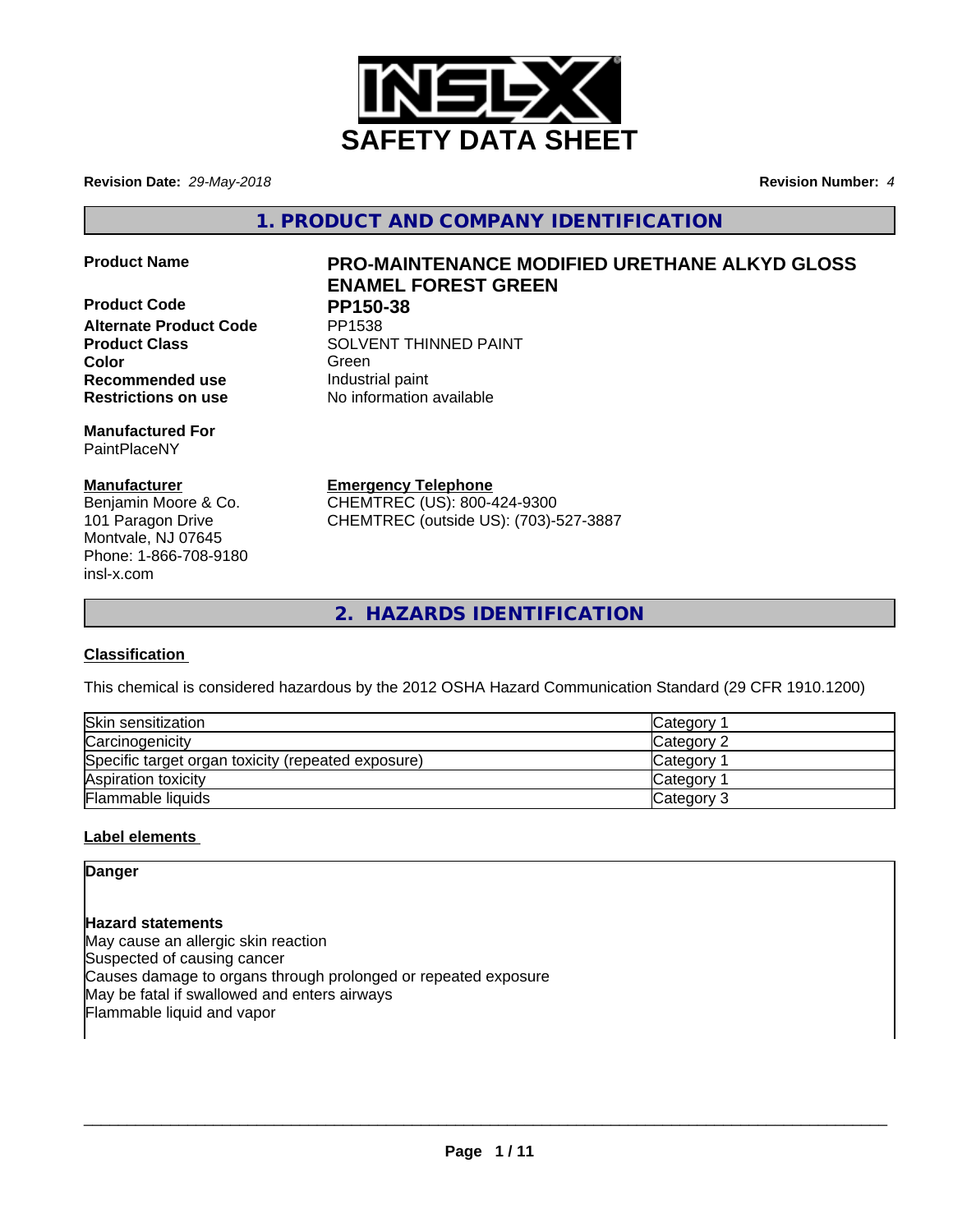

**Revision Date:** *29-May-2018* **Revision Number:** *4*

**1. PRODUCT AND COMPANY IDENTIFICATION**

**Product Code PP150-38 Alternate Product Code Recommended use Industrial paint Restrictions on use** No information available

**Manufactured For** PaintPlaceNY

# **Manufacturer**

Benjamin Moore & Co. 101 Paragon Drive Montvale, NJ 07645 Phone: 1-866-708-9180 insl-x.com

# **Product Name PRO-MAINTENANCE MODIFIED URETHANE ALKYD GLOSS ENAMEL FOREST GREEN**

**Product Class SOLVENT THINNED PAINT Color** Green Green Green Green Color

**Emergency Telephone**

CHEMTREC (US): 800-424-9300 CHEMTREC (outside US): (703)-527-3887

**2. HAZARDS IDENTIFICATION**

# **Classification**

This chemical is considered hazardous by the 2012 OSHA Hazard Communication Standard (29 CFR 1910.1200)

| Skin sensitization                                 | Category        |
|----------------------------------------------------|-----------------|
| Carcinogenicity                                    | Category 2      |
| Specific target organ toxicity (repeated exposure) | <b>Category</b> |
| Aspiration toxicity                                | <b>Category</b> |
| Flammable liquids                                  | Category 3      |

# **Label elements**

**Danger**

**Hazard statements** May cause an allergic skin reaction Suspected of causing cancer Causes damage to organs through prolonged or repeated exposure May be fatal if swallowed and enters airways Flammable liquid and vapor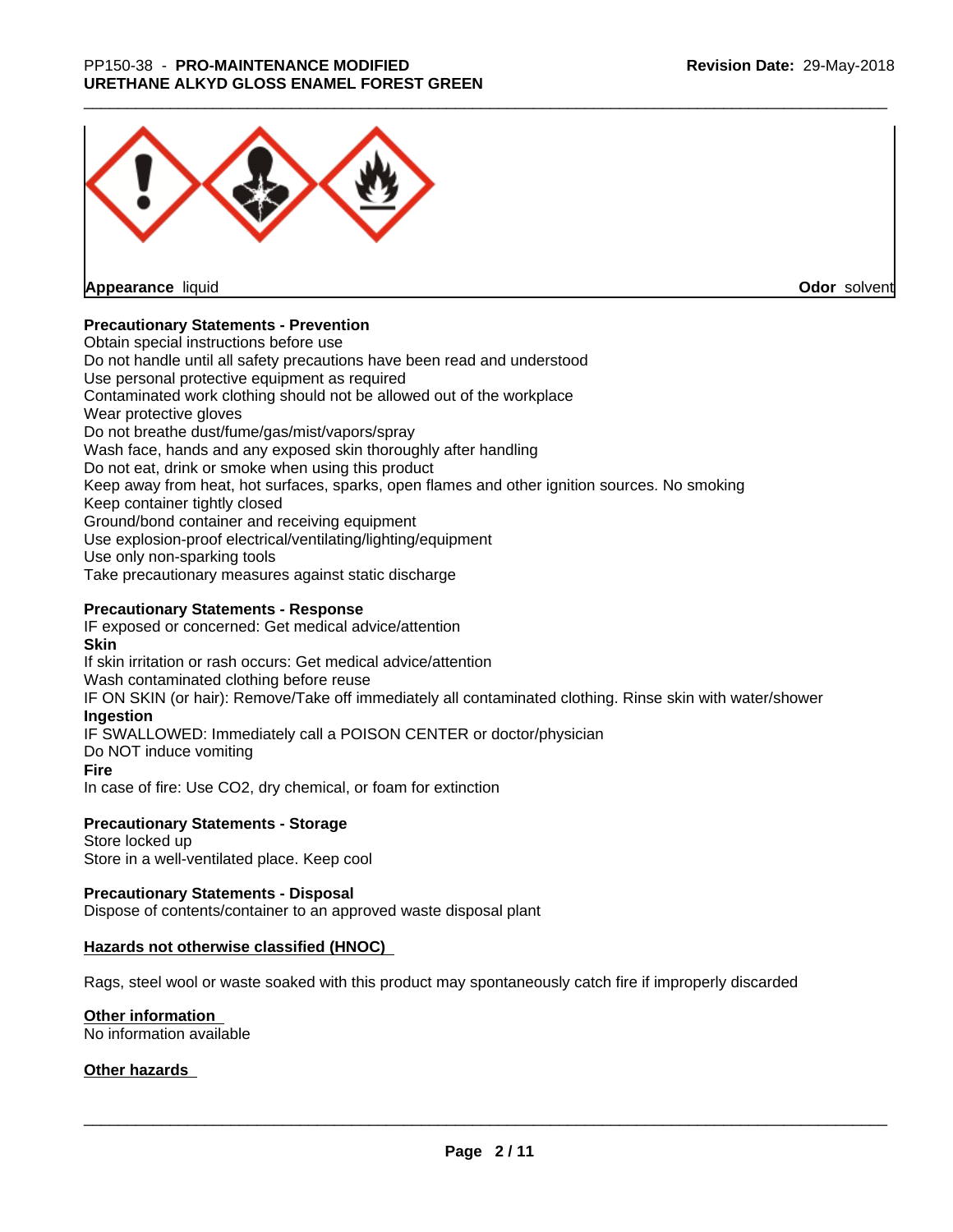

**Appearance** liquid

**Odor** solvent

## **Precautionary Statements - Prevention**

Obtain special instructions before use Do not handle until all safety precautions have been read and understood Use personal protective equipment as required Contaminated work clothing should not be allowed out of the workplace Wear protective gloves Do not breathe dust/fume/gas/mist/vapors/spray Wash face, hands and any exposed skin thoroughly after handling Do not eat, drink or smoke when using this product Keep away from heat, hot surfaces, sparks, open flames and other ignition sources. No smoking Keep container tightly closed Ground/bond container and receiving equipment Use explosion-proof electrical/ventilating/lighting/equipment Use only non-sparking tools Take precautionary measures against static discharge

### **Precautionary Statements - Response**

IF exposed or concerned: Get medical advice/attention **Skin** If skin irritation or rash occurs: Get medical advice/attention Wash contaminated clothing before reuse IF ON SKIN (or hair): Remove/Take off immediately all contaminated clothing. Rinse skin with water/shower **Ingestion** IF SWALLOWED: Immediately call a POISON CENTER or doctor/physician Do NOT induce vomiting **Fire** In case of fire: Use CO2, dry chemical, or foam for extinction

### **Precautionary Statements - Storage**

Store locked up Store in a well-ventilated place. Keep cool

### **Precautionary Statements - Disposal**

Dispose of contents/container to an approved waste disposal plant

### **Hazards not otherwise classified (HNOC)**

Rags, steel wool or waste soaked with this product may spontaneously catch fire if improperly discarded

### **Other information**

No information available

### **Other hazards**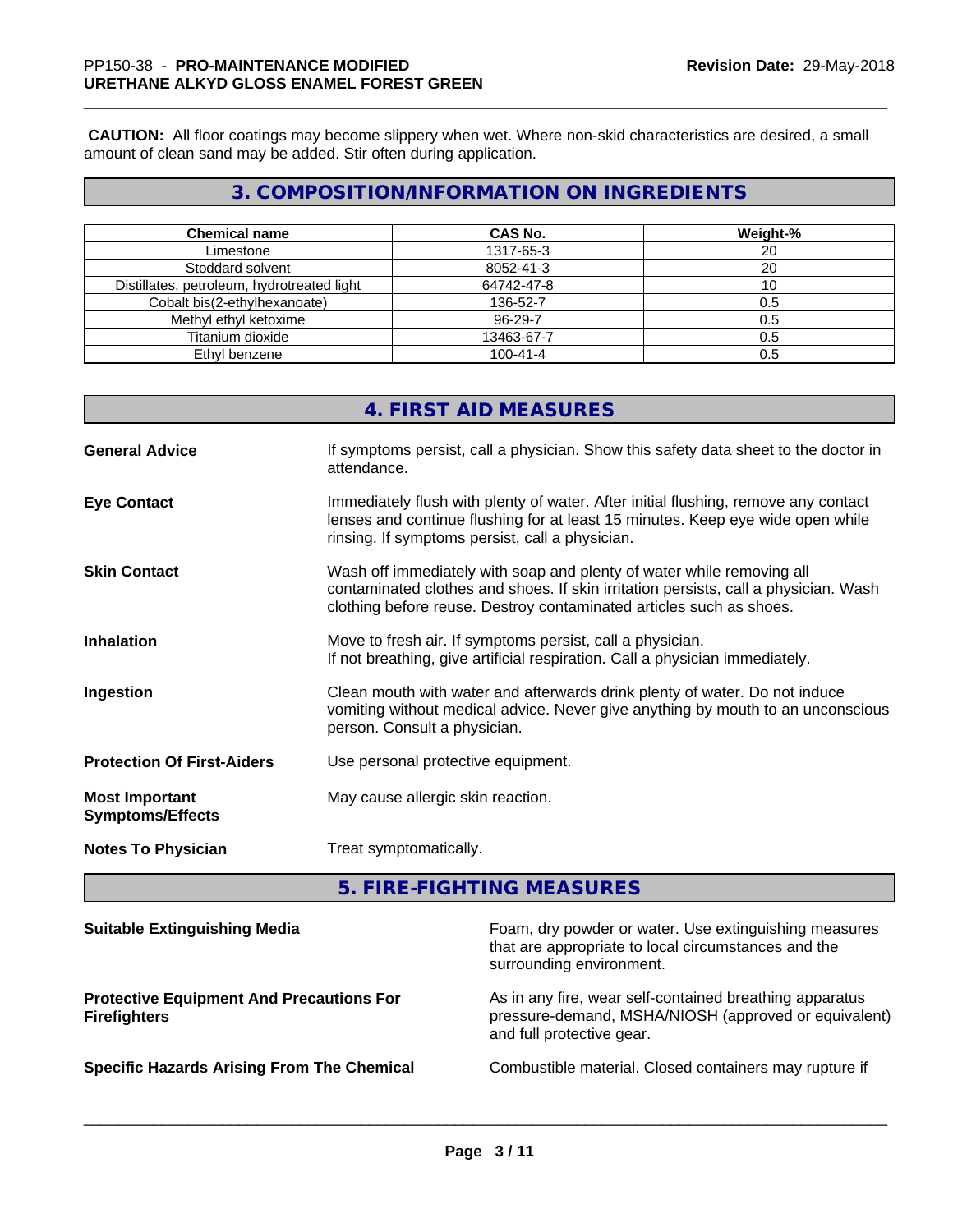**CAUTION:** All floor coatings may become slippery when wet. Where non-skid characteristics are desired, a small amount of clean sand may be added. Stir often during application.

# **3. COMPOSITION/INFORMATION ON INGREDIENTS**

| <b>Chemical name</b>                       | <b>CAS No.</b> | Weight-% |
|--------------------------------------------|----------------|----------|
| Limestone                                  | 1317-65-3      | 20       |
| Stoddard solvent                           | 8052-41-3      | 20       |
| Distillates, petroleum, hydrotreated light | 64742-47-8     |          |
| Cobalt bis(2-ethylhexanoate)               | 136-52-7       | 0.5      |
| Methyl ethyl ketoxime                      | 96-29-7        | 0.5      |
| Titanium dioxide                           | 13463-67-7     | 0.5      |
| Ethyl benzene                              | $100 - 41 - 4$ | 0.5      |

|                                                  | 4. FIRST AID MEASURES                                                                                                                                                                                                               |
|--------------------------------------------------|-------------------------------------------------------------------------------------------------------------------------------------------------------------------------------------------------------------------------------------|
| <b>General Advice</b>                            | If symptoms persist, call a physician. Show this safety data sheet to the doctor in<br>attendance.                                                                                                                                  |
| <b>Eye Contact</b>                               | Immediately flush with plenty of water. After initial flushing, remove any contact<br>lenses and continue flushing for at least 15 minutes. Keep eye wide open while<br>rinsing. If symptoms persist, call a physician.             |
| <b>Skin Contact</b>                              | Wash off immediately with soap and plenty of water while removing all<br>contaminated clothes and shoes. If skin irritation persists, call a physician. Wash<br>clothing before reuse. Destroy contaminated articles such as shoes. |
| <b>Inhalation</b>                                | Move to fresh air. If symptoms persist, call a physician.<br>If not breathing, give artificial respiration. Call a physician immediately.                                                                                           |
| Ingestion                                        | Clean mouth with water and afterwards drink plenty of water. Do not induce<br>vomiting without medical advice. Never give anything by mouth to an unconscious<br>person. Consult a physician.                                       |
| <b>Protection Of First-Aiders</b>                | Use personal protective equipment.                                                                                                                                                                                                  |
| <b>Most Important</b><br><b>Symptoms/Effects</b> | May cause allergic skin reaction.                                                                                                                                                                                                   |
| <b>Notes To Physician</b>                        | Treat symptomatically.                                                                                                                                                                                                              |
|                                                  |                                                                                                                                                                                                                                     |

**5. FIRE-FIGHTING MEASURES**

| <b>Suitable Extinguishing Media</b>                                    | Foam, dry powder or water. Use extinguishing measures<br>that are appropriate to local circumstances and the<br>surrounding environment.     |
|------------------------------------------------------------------------|----------------------------------------------------------------------------------------------------------------------------------------------|
| <b>Protective Equipment And Precautions For</b><br><b>Firefighters</b> | As in any fire, wear self-contained breathing apparatus<br>pressure-demand, MSHA/NIOSH (approved or equivalent)<br>and full protective gear. |
| <b>Specific Hazards Arising From The Chemical</b>                      | Combustible material. Closed containers may rupture if                                                                                       |
|                                                                        |                                                                                                                                              |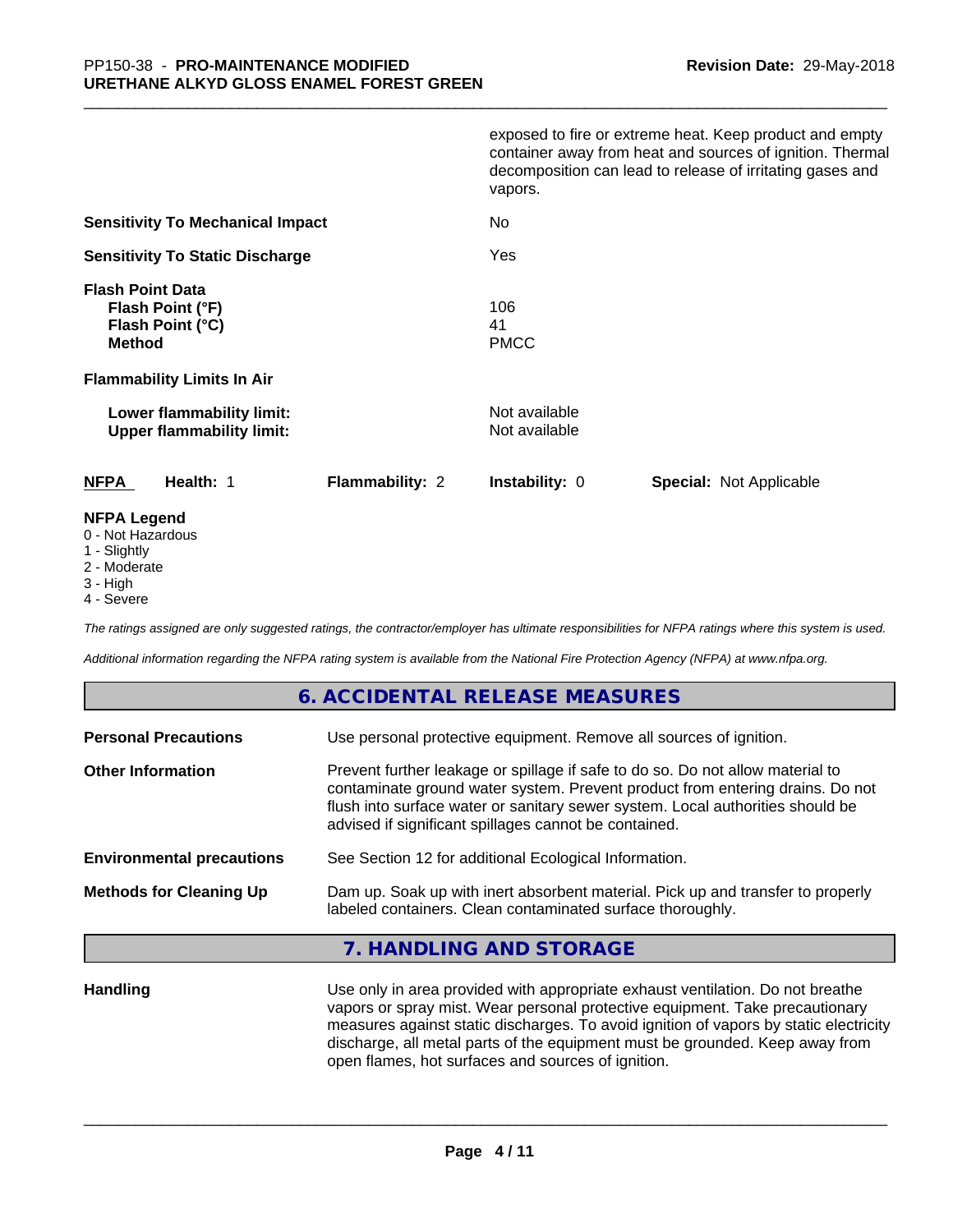|                                                                                                                       | exposed to fire or extreme heat. Keep product and empty<br>container away from heat and sources of ignition. Thermal<br>decomposition can lead to release of irritating gases and<br>vapors. |
|-----------------------------------------------------------------------------------------------------------------------|----------------------------------------------------------------------------------------------------------------------------------------------------------------------------------------------|
| <b>Sensitivity To Mechanical Impact</b>                                                                               | No.                                                                                                                                                                                          |
| <b>Sensitivity To Static Discharge</b>                                                                                | Yes                                                                                                                                                                                          |
| <b>Flash Point Data</b><br>Flash Point (°F)<br>Flash Point (°C)<br><b>Method</b><br><b>Flammability Limits In Air</b> | 106<br>41<br><b>PMCC</b>                                                                                                                                                                     |
| Lower flammability limit:<br><b>Upper flammability limit:</b>                                                         | Not available<br>Not available                                                                                                                                                               |
| <b>NFPA</b><br><b>Flammability: 2</b><br>Health: 1                                                                    | <b>Instability: 0</b><br><b>Special: Not Applicable</b>                                                                                                                                      |
| <b>NFPA Legend</b>                                                                                                    |                                                                                                                                                                                              |

- 0 Not Hazardous
- 1 Slightly
- 2 Moderate
- 3 High
- 4 Severe

*The ratings assigned are only suggested ratings, the contractor/employer has ultimate responsibilities for NFPA ratings where this system is used.*

*Additional information regarding the NFPA rating system is available from the National Fire Protection Agency (NFPA) at www.nfpa.org.*

# **6. ACCIDENTAL RELEASE MEASURES**

| <b>Personal Precautions</b>      | Use personal protective equipment. Remove all sources of ignition.                                                                                                                                                                                                                                         |
|----------------------------------|------------------------------------------------------------------------------------------------------------------------------------------------------------------------------------------------------------------------------------------------------------------------------------------------------------|
| <b>Other Information</b>         | Prevent further leakage or spillage if safe to do so. Do not allow material to<br>contaminate ground water system. Prevent product from entering drains. Do not<br>flush into surface water or sanitary sewer system. Local authorities should be<br>advised if significant spillages cannot be contained. |
| <b>Environmental precautions</b> | See Section 12 for additional Ecological Information.                                                                                                                                                                                                                                                      |
| <b>Methods for Cleaning Up</b>   | Dam up. Soak up with inert absorbent material. Pick up and transfer to properly<br>labeled containers. Clean contaminated surface thoroughly.                                                                                                                                                              |

## **7. HANDLING AND STORAGE**

**Handling** Use only in area provided with appropriate exhaust ventilation. Do not breathe vapors or spray mist. Wear personal protective equipment. Take precautionary measures against static discharges. To avoid ignition of vapors by static electricity discharge, all metal parts of the equipment must be grounded. Keep away from open flames, hot surfaces and sources of ignition.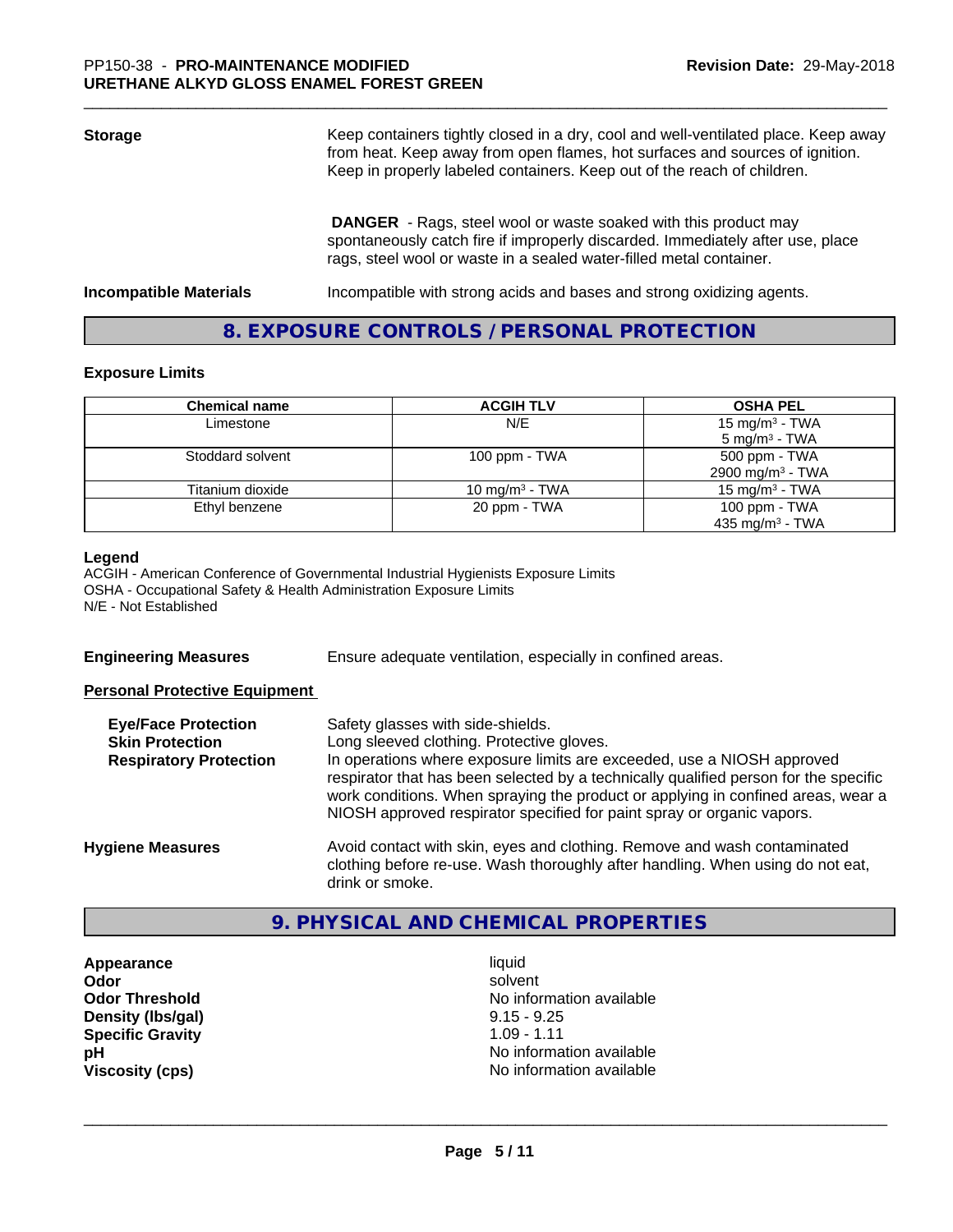| <b>Storage</b>                | Keep containers tightly closed in a dry, cool and well-ventilated place. Keep away<br>from heat. Keep away from open flames, hot surfaces and sources of ignition.<br>Keep in properly labeled containers. Keep out of the reach of children. |  |
|-------------------------------|-----------------------------------------------------------------------------------------------------------------------------------------------------------------------------------------------------------------------------------------------|--|
|                               | <b>DANGER</b> - Rags, steel wool or waste soaked with this product may<br>spontaneously catch fire if improperly discarded. Immediately after use, place<br>rags, steel wool or waste in a sealed water-filled metal container.               |  |
| <b>Incompatible Materials</b> | Incompatible with strong acids and bases and strong oxidizing agents.                                                                                                                                                                         |  |

# **8. EXPOSURE CONTROLS / PERSONAL PROTECTION**

### **Exposure Limits**

| <b>Chemical name</b> | <b>ACGIH TLV</b>  | <b>OSHA PEL</b>              |
|----------------------|-------------------|------------------------------|
| Limestone            | N/E               | 15 mg/m <sup>3</sup> - TWA   |
|                      |                   | $5 \text{ mg/m}^3$ - TWA     |
| Stoddard solvent     | 100 ppm - $TWA$   | 500 ppm - TWA                |
|                      |                   | 2900 mg/m <sup>3</sup> - TWA |
| Titanium dioxide     | 10 mg/m $3$ - TWA | 15 mg/m $3$ - TWA            |
| Ethyl benzene        | 20 ppm - TWA      | 100 ppm $-$ TWA              |
|                      |                   | 435 mg/m <sup>3</sup> - TWA  |

#### **Legend**

ACGIH - American Conference of Governmental Industrial Hygienists Exposure Limits OSHA - Occupational Safety & Health Administration Exposure Limits N/E - Not Established

**Engineering Measures** Ensure adequate ventilation, especially in confined areas.

### **Personal Protective Equipment**

| <b>Eye/Face Protection</b><br><b>Skin Protection</b> | Safety glasses with side-shields.<br>Long sleeved clothing. Protective gloves.                                                                                                                                                                     |
|------------------------------------------------------|----------------------------------------------------------------------------------------------------------------------------------------------------------------------------------------------------------------------------------------------------|
| <b>Respiratory Protection</b>                        | In operations where exposure limits are exceeded, use a NIOSH approved                                                                                                                                                                             |
|                                                      | respirator that has been selected by a technically qualified person for the specific<br>work conditions. When spraying the product or applying in confined areas, wear a<br>NIOSH approved respirator specified for paint spray or organic vapors. |
| <b>Hygiene Measures</b>                              | Avoid contact with skin, eyes and clothing. Remove and wash contaminated<br>clothing before re-use. Wash thoroughly after handling. When using do not eat,                                                                                         |
|                                                      | drink or smoke.                                                                                                                                                                                                                                    |

# **9. PHYSICAL AND CHEMICAL PROPERTIES**

**Appearance** liquid **Density (lbs/gal)** 9.15 - 9.25<br> **Specific Gravity** 1.09 - 1.11 **Specific Gravity** 

**Odor** solvent **Odor Threshold No information available No information available pH** No information available **Viscosity (cps)** No information available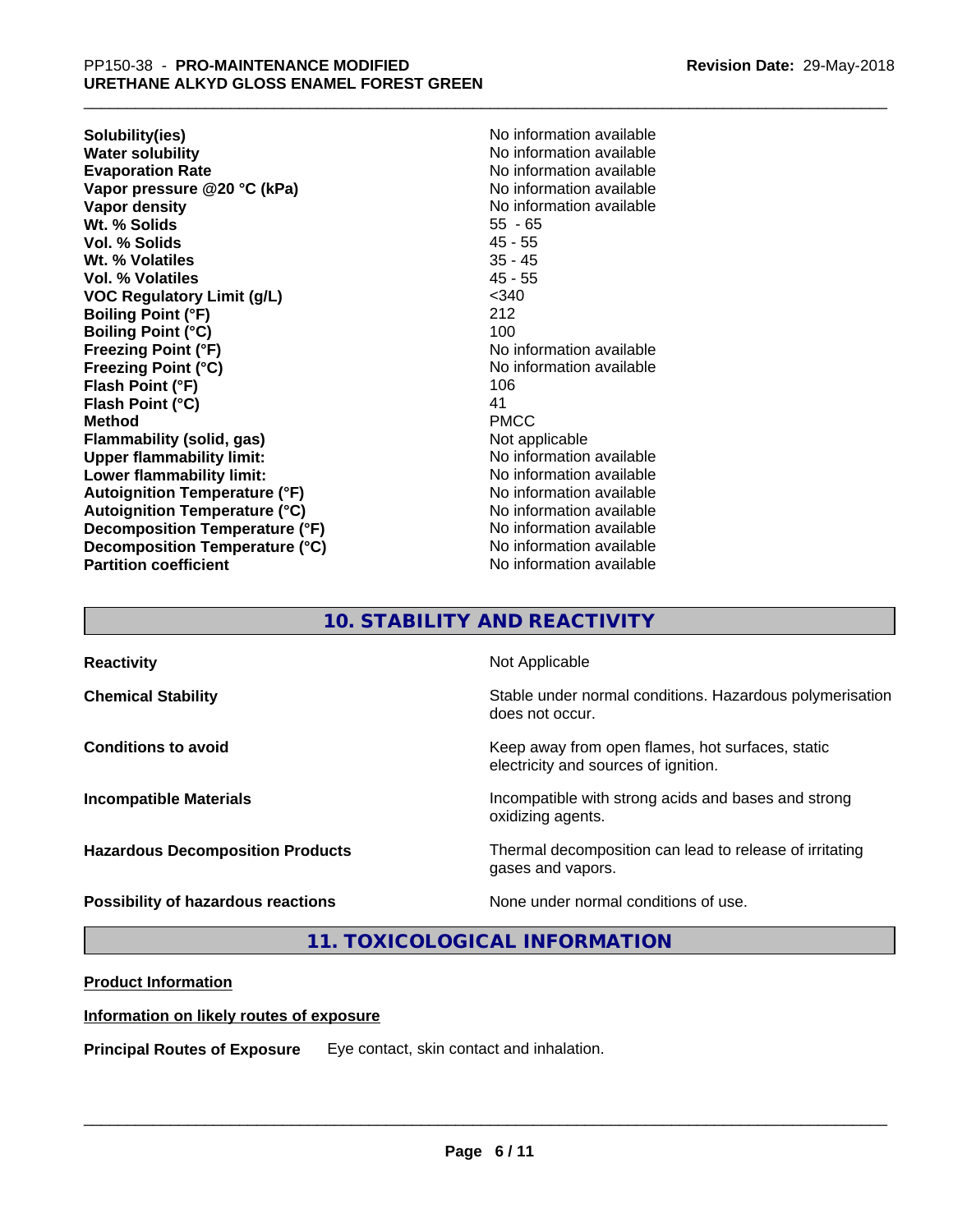**Solubility(ies)** No information available **Water solubility**<br> **Evaporation Rate**<br> **Evaporation Rate**<br> **Evaporation Rate Vapor pressure @20 °C (kPa)** No information available **Vapor density No information available No** information available **Wt. % Solids** 55 - 65 **Vol. % Solids** 45 - 55 **Wt. % Volatiles** 35 - 45 **Vol. % Volatiles** 45 - 55 **VOC Regulatory Limit (g/L)** <340 **Boiling Point (°F)** 212 **Boiling Point (°C)** 100 **Freezing Point (°F)**<br> **Freezing Point (°C)**<br> **Freezing Point (°C)**<br> **No information available Flash Point (°F)** 106 **Flash Point (°C)** 41 **Method** PMCC **Flammability (solid, gas)** Not applicable **Upper flammability limit:** No information available **Lower flammability limit:** No information available **Lower** flammability limit: **Autoignition Temperature (°F)**<br> **Autoignition Temperature (°C)** No information available<br>
No information available **Autoignition Temperature (°C) Decomposition Temperature (°F)** No information available **Decomposition Temperature (°C)** No information available **Partition coefficient Contract Contract Contract Contract Contract Contract Contract Contract Contract Contract Contract Contract Contract Contract Contract Contract Contract Contract Contract Contract Contract Contract** 

**Evaporation Rate** No information available **Freezing Point (°C)** No information available

# **10. STABILITY AND REACTIVITY**

| <b>Reactivity</b>                       | Not Applicable                                                                           |
|-----------------------------------------|------------------------------------------------------------------------------------------|
| <b>Chemical Stability</b>               | Stable under normal conditions. Hazardous polymerisation<br>does not occur.              |
| <b>Conditions to avoid</b>              | Keep away from open flames, hot surfaces, static<br>electricity and sources of ignition. |
| <b>Incompatible Materials</b>           | Incompatible with strong acids and bases and strong<br>oxidizing agents.                 |
| <b>Hazardous Decomposition Products</b> | Thermal decomposition can lead to release of irritating<br>gases and vapors.             |
| Possibility of hazardous reactions      | None under normal conditions of use.                                                     |

**11. TOXICOLOGICAL INFORMATION**

## **Product Information**

## **Information on likely routes of exposure**

**Principal Routes of Exposure** Eye contact, skin contact and inhalation.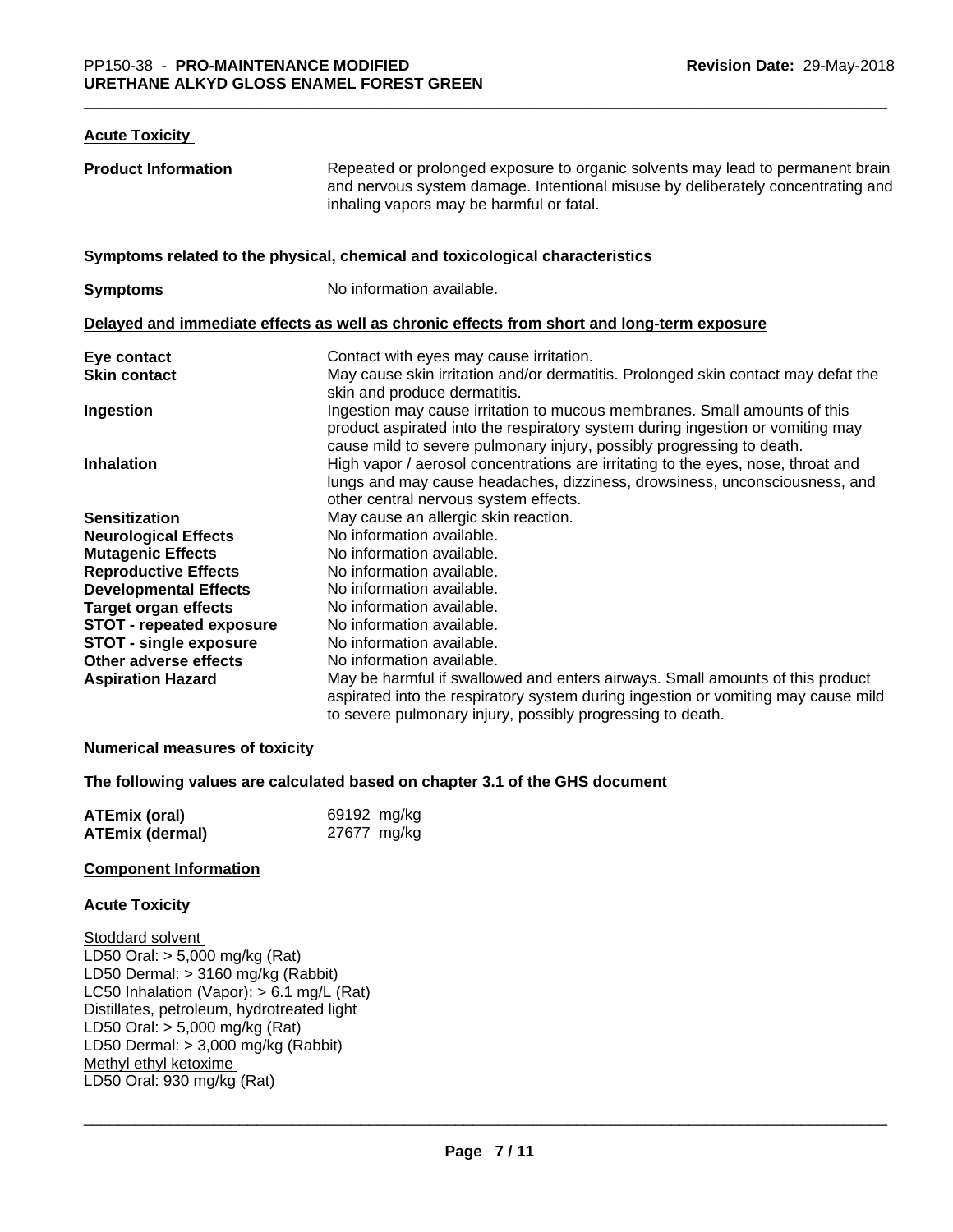#### **Acute Toxicity**

| <b>Product Information</b>      | Repeated or prolonged exposure to organic solvents may lead to permanent brain<br>and nervous system damage. Intentional misuse by deliberately concentrating and<br>inhaling vapors may be harmful or fatal.                        |
|---------------------------------|--------------------------------------------------------------------------------------------------------------------------------------------------------------------------------------------------------------------------------------|
|                                 | Symptoms related to the physical, chemical and toxicological characteristics                                                                                                                                                         |
| <b>Symptoms</b>                 | No information available.                                                                                                                                                                                                            |
|                                 | Delayed and immediate effects as well as chronic effects from short and long-term exposure                                                                                                                                           |
| Eye contact                     | Contact with eyes may cause irritation.                                                                                                                                                                                              |
| <b>Skin contact</b>             | May cause skin irritation and/or dermatitis. Prolonged skin contact may defat the<br>skin and produce dermatitis.                                                                                                                    |
| Ingestion                       | Ingestion may cause irritation to mucous membranes. Small amounts of this<br>product aspirated into the respiratory system during ingestion or vomiting may<br>cause mild to severe pulmonary injury, possibly progressing to death. |
| <b>Inhalation</b>               | High vapor / aerosol concentrations are irritating to the eyes, nose, throat and<br>lungs and may cause headaches, dizziness, drowsiness, unconsciousness, and<br>other central nervous system effects.                              |
| <b>Sensitization</b>            | May cause an allergic skin reaction.                                                                                                                                                                                                 |
| <b>Neurological Effects</b>     | No information available.                                                                                                                                                                                                            |
| <b>Mutagenic Effects</b>        | No information available.                                                                                                                                                                                                            |
| <b>Reproductive Effects</b>     | No information available.                                                                                                                                                                                                            |
| <b>Developmental Effects</b>    | No information available.                                                                                                                                                                                                            |
| <b>Target organ effects</b>     | No information available.                                                                                                                                                                                                            |
| <b>STOT - repeated exposure</b> | No information available.                                                                                                                                                                                                            |
| <b>STOT - single exposure</b>   | No information available.                                                                                                                                                                                                            |
| Other adverse effects           | No information available.                                                                                                                                                                                                            |
| <b>Aspiration Hazard</b>        | May be harmful if swallowed and enters airways. Small amounts of this product<br>aspirated into the respiratory system during ingestion or vomiting may cause mild<br>to severe pulmonary injury, possibly progressing to death.     |

### **Numerical measures of toxicity**

### **The following values are calculated based on chapter 3.1 of the GHS document**

| <b>ATEmix (oral)</b> | 69192 mg/kg |
|----------------------|-------------|
| ATEmix (dermal)      | 27677 mg/kg |

#### **Component Information**

### **Acute Toxicity**

Stoddard solvent LD50 Oral: > 5,000 mg/kg (Rat) LD50 Dermal: > 3160 mg/kg (Rabbit) LC50 Inhalation (Vapor): > 6.1 mg/L (Rat) Distillates, petroleum, hydrotreated light LD50 Oral: > 5,000 mg/kg (Rat) LD50 Dermal: > 3,000 mg/kg (Rabbit) Methyl ethyl ketoxime LD50 Oral: 930 mg/kg (Rat)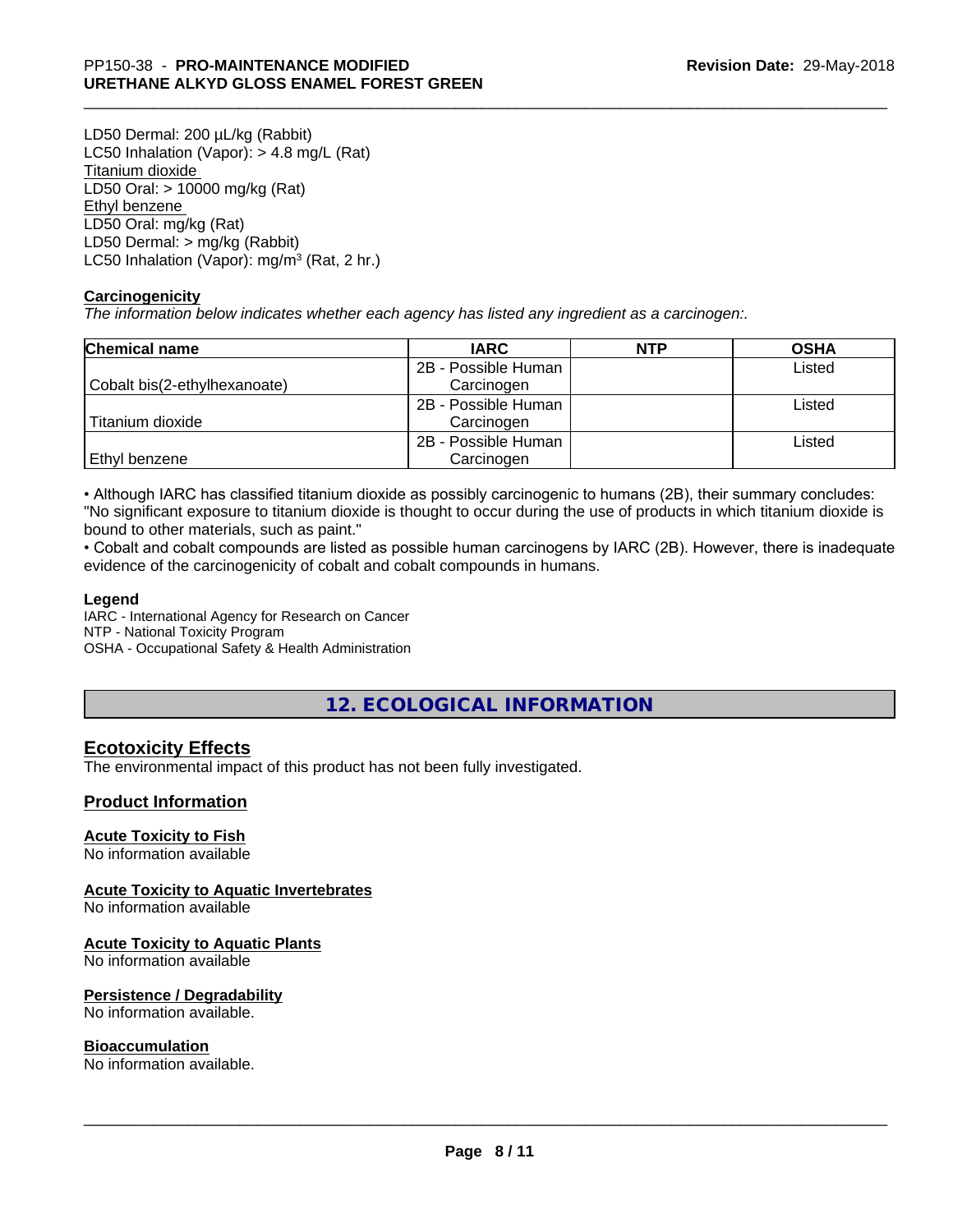LD50 Dermal: 200 µL/kg (Rabbit) LC50 Inhalation (Vapor): > 4.8 mg/L (Rat) Titanium dioxide LD50 Oral: > 10000 mg/kg (Rat) Ethyl benzene LD50 Oral: mg/kg (Rat) LD50 Dermal: > mg/kg (Rabbit) LC50 Inhalation (Vapor): mg/m<sup>3</sup> (Rat, 2 hr.)

### **Carcinogenicity**

*The information below indicateswhether each agency has listed any ingredient as a carcinogen:.*

| <b>Chemical name</b>         | <b>IARC</b>         | <b>NTP</b> | <b>OSHA</b> |
|------------------------------|---------------------|------------|-------------|
|                              | 2B - Possible Human |            | Listed      |
| Cobalt bis(2-ethylhexanoate) | Carcinogen          |            |             |
|                              | 2B - Possible Human |            | Listed      |
| Titanium dioxide             | Carcinogen          |            |             |
|                              | 2B - Possible Human |            | Listed      |
| Ethyl benzene                | Carcinogen          |            |             |

• Although IARC has classified titanium dioxide as possibly carcinogenic to humans (2B), their summary concludes: "No significant exposure to titanium dioxide is thought to occur during the use of products in which titanium dioxide is bound to other materials, such as paint."

• Cobalt and cobalt compounds are listed as possible human carcinogens by IARC (2B). However, there is inadequate evidence of the carcinogenicity of cobalt and cobalt compounds in humans.

### **Legend**

IARC - International Agency for Research on Cancer NTP - National Toxicity Program OSHA - Occupational Safety & Health Administration

# **12. ECOLOGICAL INFORMATION**

# **Ecotoxicity Effects**

The environmental impact of this product has not been fully investigated.

## **Product Information**

### **Acute Toxicity to Fish**

No information available

### **Acute Toxicity to Aquatic Invertebrates**

No information available

### **Acute Toxicity to Aquatic Plants**

No information available

### **Persistence / Degradability**

No information available.

### **Bioaccumulation**

No information available.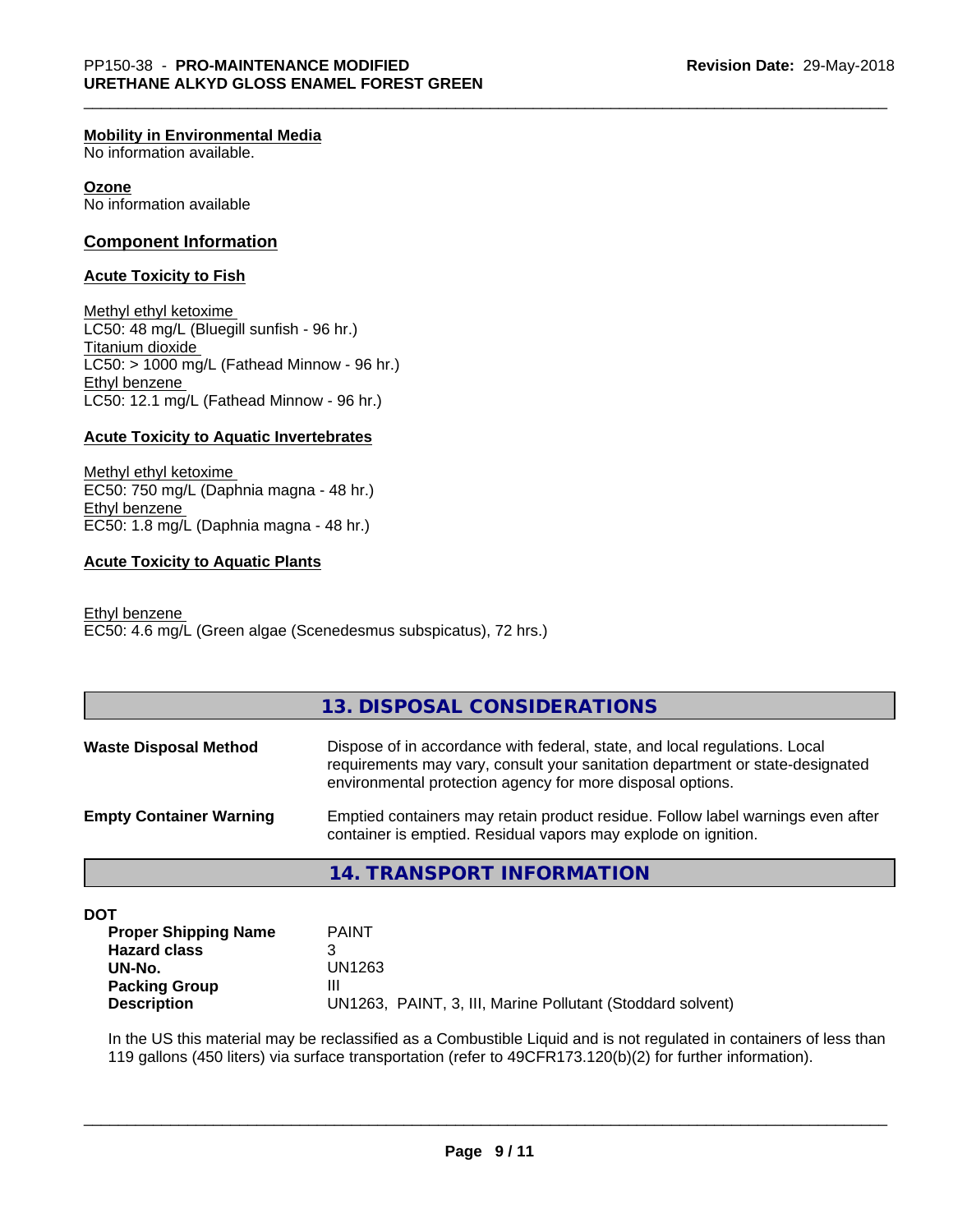### **Mobility in Environmental Media**

No information available.

#### **Ozone**

No information available

### **Component Information**

#### **Acute Toxicity to Fish**

Methyl ethyl ketoxime LC50: 48 mg/L (Bluegill sunfish - 96 hr.) Titanium dioxide  $LC50:$  > 1000 mg/L (Fathead Minnow - 96 hr.) Ethyl benzene LC50: 12.1 mg/L (Fathead Minnow - 96 hr.)

#### **Acute Toxicity to Aquatic Invertebrates**

Methyl ethyl ketoxime EC50: 750 mg/L (Daphnia magna - 48 hr.) Ethyl benzene EC50: 1.8 mg/L (Daphnia magna - 48 hr.)

### **Acute Toxicity to Aquatic Plants**

Ethyl benzene EC50: 4.6 mg/L (Green algae (Scenedesmus subspicatus), 72 hrs.)

## **13. DISPOSAL CONSIDERATIONS**

| <b>Waste Disposal Method</b>   | Dispose of in accordance with federal, state, and local regulations. Local<br>requirements may vary, consult your sanitation department or state-designated<br>environmental protection agency for more disposal options. |
|--------------------------------|---------------------------------------------------------------------------------------------------------------------------------------------------------------------------------------------------------------------------|
| <b>Empty Container Warning</b> | Emptied containers may retain product residue. Follow label warnings even after<br>container is emptied. Residual vapors may explode on ignition.                                                                         |

## **14. TRANSPORT INFORMATION**

**DOT**

| <b>Proper Shipping Name</b> | <b>PAINT</b>                                               |
|-----------------------------|------------------------------------------------------------|
| <b>Hazard class</b>         |                                                            |
| UN-No.                      | UN1263                                                     |
| <b>Packing Group</b>        | Ш                                                          |
| <b>Description</b>          | UN1263, PAINT, 3, III, Marine Pollutant (Stoddard solvent) |

In the US this material may be reclassified as a Combustible Liquid and is not regulated in containers of less than 119 gallons (450 liters) via surface transportation (refer to 49CFR173.120(b)(2) for further information).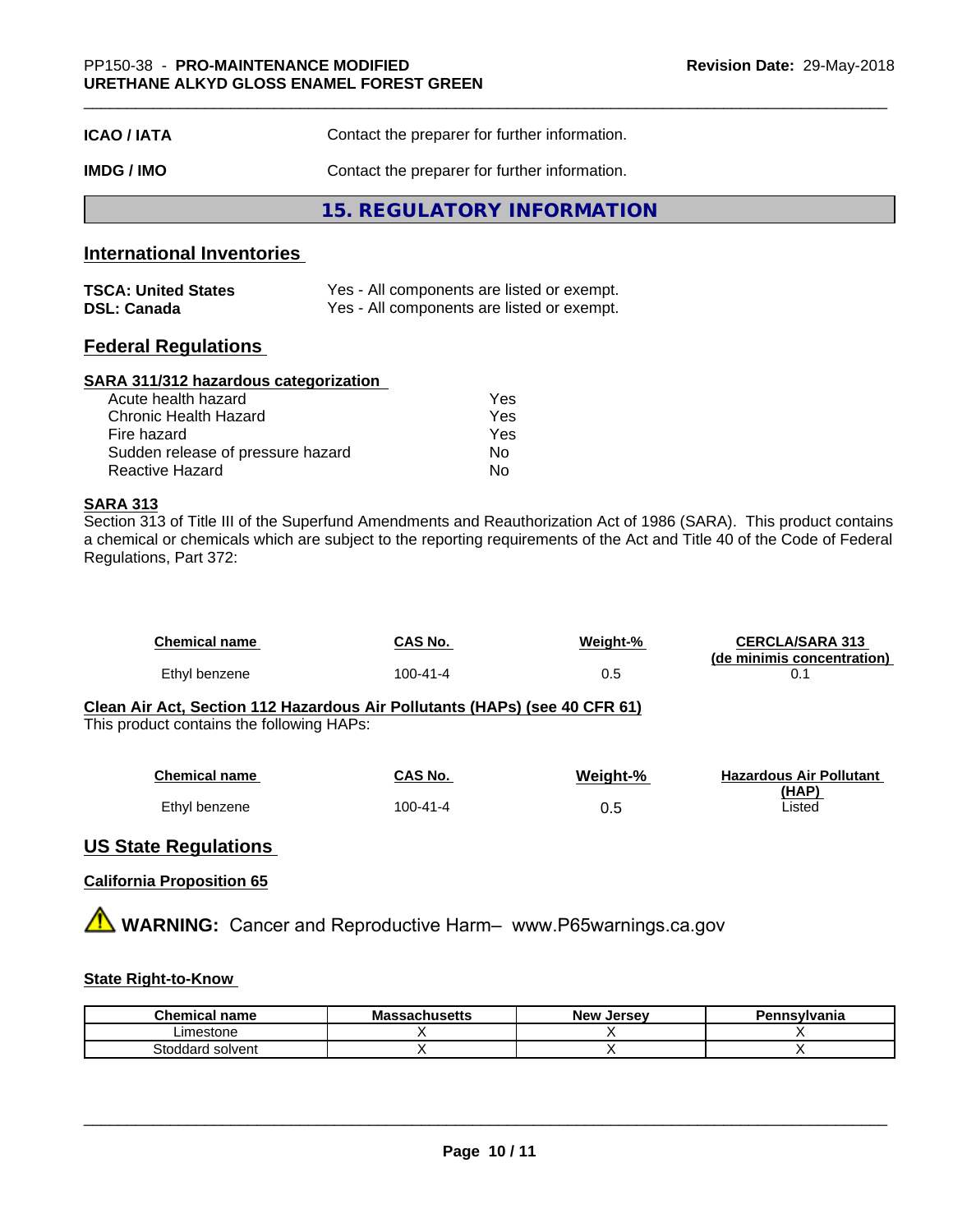| <b>ICAO/IATA</b> | Contact the preparer for further information. |
|------------------|-----------------------------------------------|
| IMDG / IMO       | Contact the preparer for further information. |
|                  | 15. REGULATORY INFORMATION                    |

# **International Inventories**

| <b>TSCA: United States</b> | Yes - All components are listed or exempt. |
|----------------------------|--------------------------------------------|
| <b>DSL: Canada</b>         | Yes - All components are listed or exempt. |

# **Federal Regulations**

### **SARA 311/312 hazardous categorization**

| Acute health hazard               | Yes |
|-----------------------------------|-----|
| Chronic Health Hazard             | Yes |
| Fire hazard                       | Yes |
| Sudden release of pressure hazard | Nο  |
| Reactive Hazard                   | N٥  |

# **SARA 313**

Section 313 of Title III of the Superfund Amendments and Reauthorization Act of 1986 (SARA). This product contains a chemical or chemicals which are subject to the reporting requirements of the Act and Title 40 of the Code of Federal Regulations, Part 372:

| Chemical name | CAS No.  | Weight-% | <b>CERCLA/SARA 313</b><br>(de minimis concentration) |
|---------------|----------|----------|------------------------------------------------------|
| Ethyl benzene | 100-41-4 | 0.5      |                                                      |

#### **Clean Air Act,Section 112 Hazardous Air Pollutants (HAPs) (see 40 CFR 61)** This product contains the following HAPs:

| <b>Chemical name</b> | CAS No.  | Weight-% | <b>Hazardous Air Pollutant</b> |
|----------------------|----------|----------|--------------------------------|
|                      |          |          | (HAP)                          |
| Ethyl benzene        | 100-41-4 | 0.5      | Listed                         |

# **US State Regulations**

# **California Proposition 65**

**A** WARNING: Cancer and Reproductive Harm– www.P65warnings.ca.gov

# **State Right-to-Know**

| Chemical<br>' name             | Massachusetts | <b>Jersev</b><br><b>New</b> | Pennsylvania |
|--------------------------------|---------------|-----------------------------|--------------|
| Limestone                      |               |                             |              |
| Stoddard.<br>l solvent<br>וסזכ |               |                             |              |